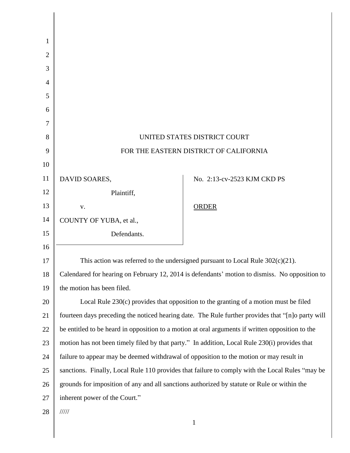| 1              |                                                                                                   |                             |
|----------------|---------------------------------------------------------------------------------------------------|-----------------------------|
| $\overline{2}$ |                                                                                                   |                             |
| 3              |                                                                                                   |                             |
| 4              |                                                                                                   |                             |
| 5              |                                                                                                   |                             |
| 6              |                                                                                                   |                             |
| 7              |                                                                                                   |                             |
| 8              | UNITED STATES DISTRICT COURT                                                                      |                             |
| 9              | FOR THE EASTERN DISTRICT OF CALIFORNIA                                                            |                             |
| 10             |                                                                                                   |                             |
| 11             | DAVID SOARES,                                                                                     | No. 2:13-cv-2523 KJM CKD PS |
| 12             | Plaintiff,                                                                                        |                             |
| 13             | V.                                                                                                | ORDER                       |
| 14             | COUNTY OF YUBA, et al.,                                                                           |                             |
| 15             | Defendants.                                                                                       |                             |
| 16             |                                                                                                   |                             |
| 17             | This action was referred to the undersigned pursuant to Local Rule $302(c)(21)$ .                 |                             |
| 18             | Calendared for hearing on February 12, 2014 is defendants' motion to dismiss. No opposition to    |                             |
| 19             | the motion has been filed.                                                                        |                             |
| 20             | Local Rule $230(c)$ provides that opposition to the granting of a motion must be filed            |                             |
| 21             | fourteen days preceding the noticed hearing date. The Rule further provides that "[n]o party will |                             |
| 22             | be entitled to be heard in opposition to a motion at oral arguments if written opposition to the  |                             |
| 23             | motion has not been timely filed by that party." In addition, Local Rule 230(i) provides that     |                             |
| 24             | failure to appear may be deemed withdrawal of opposition to the motion or may result in           |                             |
| 25             | sanctions. Finally, Local Rule 110 provides that failure to comply with the Local Rules "may be   |                             |
| 26             | grounds for imposition of any and all sanctions authorized by statute or Rule or within the       |                             |
| 27             | inherent power of the Court."                                                                     |                             |
| 28             | 11111                                                                                             |                             |
|                |                                                                                                   | $\mathbf{1}$                |